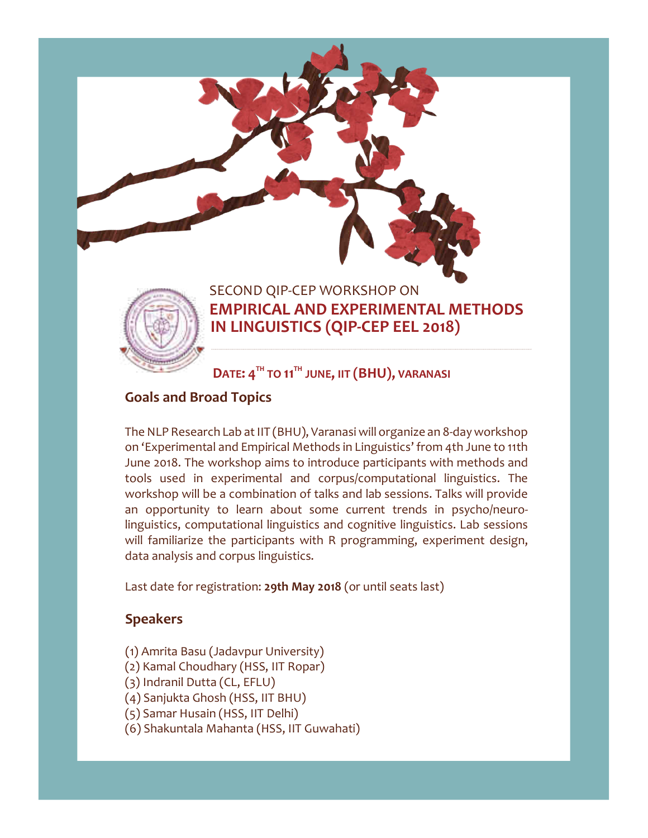

## **EMPIRICAL AND EXPERIMENTAL METHODS IN LINGUISTICS (QIP-CEP EEL 2018)**

**DATE: 4 TH TO 11TH JUNE, IIT (BHU), VARANASI**

## **Goals and Broad Topics**

The NLP Research Lab at IIT (BHU), Varanasi will organize an 8-day workshop on 'Experimental and Empirical Methods in Linguistics' from 4th June to 11th June 2018. The workshop aims to introduce participants with methods and tools used in experimental and corpus/computational linguistics. The workshop will be a combination of talks and lab sessions. Talks will provide an opportunity to learn about some current trends in psycho/neurolinguistics, computational linguistics and cognitive linguistics. Lab sessions will familiarize the participants with R programming, experiment design, data analysis and corpus linguistics.

Last date for registration: **29th May 2018** (or until seats last)

## **Speakers**

- (1) Amrita Basu (Jadavpur University)
- (2) Kamal Choudhary (HSS, IIT Ropar)
- (3) Indranil Dutta (CL, EFLU)
- (4) Sanjukta Ghosh (HSS, IIT BHU)
- (5) Samar Husain (HSS, IIT Delhi)
- (6) Shakuntala Mahanta (HSS, IIT Guwahati)